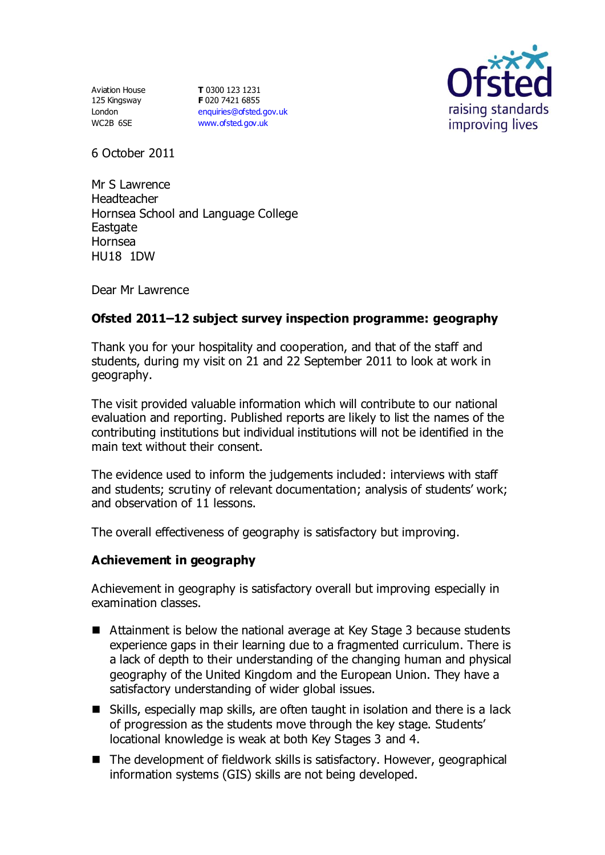Aviation House 125 Kingsway London WC2B 6SE

**T** 0300 123 1231 **F** 020 7421 6855 [enquiries@ofsted.gov.uk](mailto:enquiries@ofsted.gov.uk) [www.ofsted.gov.uk](http://www.ofsted.gov.uk/)



6 October 2011

Mr S Lawrence Headteacher Hornsea School and Language College **Eastgate** Hornsea HU18 1DW

Dear Mr Lawrence

# **Ofsted 2011–12 subject survey inspection programme: geography**

Thank you for your hospitality and cooperation, and that of the staff and students, during my visit on 21 and 22 September 2011 to look at work in geography.

The visit provided valuable information which will contribute to our national evaluation and reporting. Published reports are likely to list the names of the contributing institutions but individual institutions will not be identified in the main text without their consent.

The evidence used to inform the judgements included: interviews with staff and students; scrutiny of relevant documentation; analysis of students' work; and observation of 11 lessons.

The overall effectiveness of geography is satisfactory but improving.

### **Achievement in geography**

Achievement in geography is satisfactory overall but improving especially in examination classes.

- Attainment is below the national average at Key Stage 3 because students experience gaps in their learning due to a fragmented curriculum. There is a lack of depth to their understanding of the changing human and physical geography of the United Kingdom and the European Union. They have a satisfactory understanding of wider global issues.
- Skills, especially map skills, are often taught in isolation and there is a lack of progression as the students move through the key stage. Students' locational knowledge is weak at both Key Stages 3 and 4.
- The development of fieldwork skills is satisfactory. However, geographical information systems (GIS) skills are not being developed.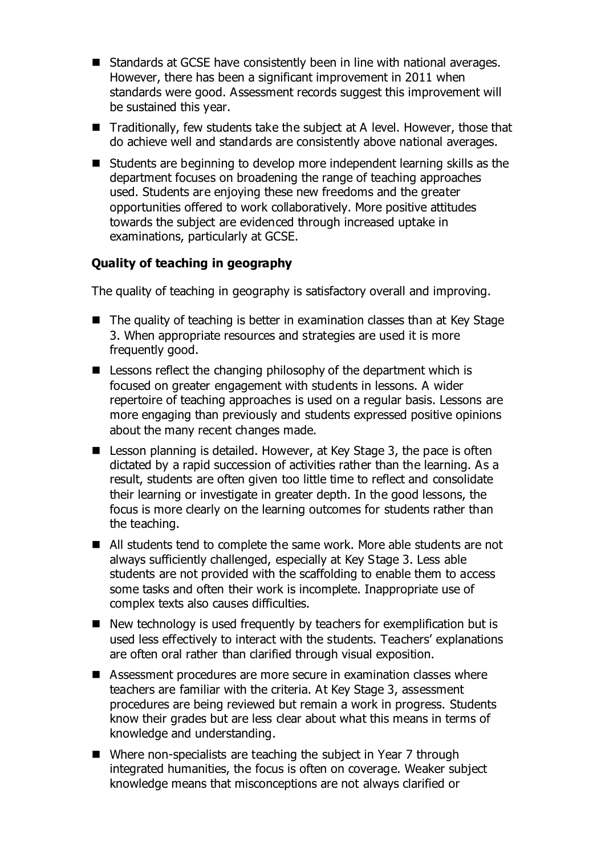- Standards at GCSE have consistently been in line with national averages. However, there has been a significant improvement in 2011 when standards were good. Assessment records suggest this improvement will be sustained this year.
- Traditionally, few students take the subject at A level. However, those that do achieve well and standards are consistently above national averages.
- Students are beginning to develop more independent learning skills as the department focuses on broadening the range of teaching approaches used. Students are enjoying these new freedoms and the greater opportunities offered to work collaboratively. More positive attitudes towards the subject are evidenced through increased uptake in examinations, particularly at GCSE.

# **Quality of teaching in geography**

The quality of teaching in geography is satisfactory overall and improving.

- The quality of teaching is better in examination classes than at Key Stage 3. When appropriate resources and strategies are used it is more frequently good.
- $\blacksquare$  Lessons reflect the changing philosophy of the department which is focused on greater engagement with students in lessons. A wider repertoire of teaching approaches is used on a regular basis. Lessons are more engaging than previously and students expressed positive opinions about the many recent changes made.
- **E** Lesson planning is detailed. However, at Key Stage 3, the pace is often dictated by a rapid succession of activities rather than the learning. As a result, students are often given too little time to reflect and consolidate their learning or investigate in greater depth. In the good lessons, the focus is more clearly on the learning outcomes for students rather than the teaching.
- All students tend to complete the same work. More able students are not always sufficiently challenged, especially at Key Stage 3. Less able students are not provided with the scaffolding to enable them to access some tasks and often their work is incomplete. Inappropriate use of complex texts also causes difficulties.
- $\blacksquare$  New technology is used frequently by teachers for exemplification but is used less effectively to interact with the students. Teachers' explanations are often oral rather than clarified through visual exposition.
- Assessment procedures are more secure in examination classes where teachers are familiar with the criteria. At Key Stage 3, assessment procedures are being reviewed but remain a work in progress. Students know their grades but are less clear about what this means in terms of knowledge and understanding.
- Where non-specialists are teaching the subject in Year 7 through integrated humanities, the focus is often on coverage. Weaker subject knowledge means that misconceptions are not always clarified or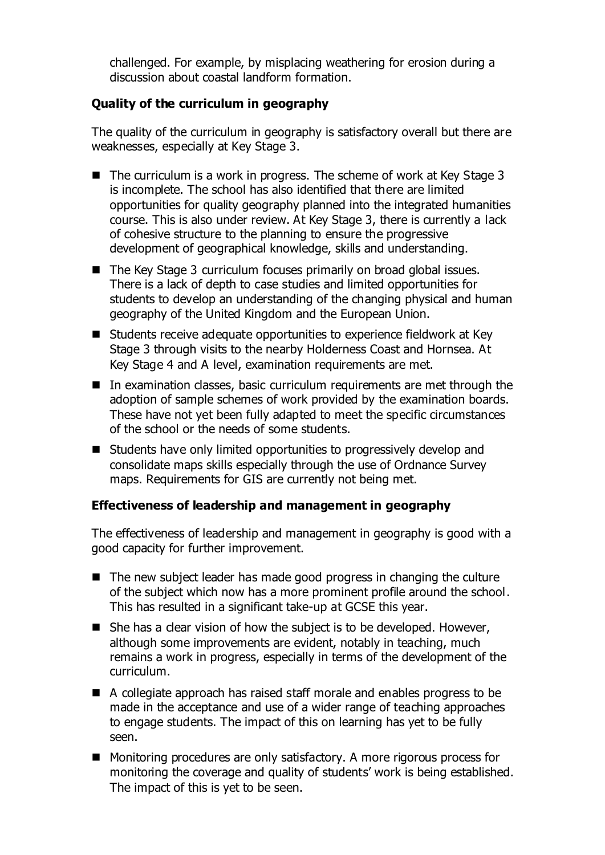challenged. For example, by misplacing weathering for erosion during a discussion about coastal landform formation.

## **Quality of the curriculum in geography**

The quality of the curriculum in geography is satisfactory overall but there are weaknesses, especially at Key Stage 3.

- $\blacksquare$  The curriculum is a work in progress. The scheme of work at Key Stage 3 is incomplete. The school has also identified that there are limited opportunities for quality geography planned into the integrated humanities course. This is also under review. At Key Stage 3, there is currently a lack of cohesive structure to the planning to ensure the progressive development of geographical knowledge, skills and understanding.
- The Key Stage 3 curriculum focuses primarily on broad global issues. There is a lack of depth to case studies and limited opportunities for students to develop an understanding of the changing physical and human geography of the United Kingdom and the European Union.
- Students receive adequate opportunities to experience fieldwork at Key Stage 3 through visits to the nearby Holderness Coast and Hornsea. At Key Stage 4 and A level, examination requirements are met.
- In examination classes, basic curriculum requirements are met through the adoption of sample schemes of work provided by the examination boards. These have not yet been fully adapted to meet the specific circumstances of the school or the needs of some students.
- Students have only limited opportunities to progressively develop and consolidate maps skills especially through the use of Ordnance Survey maps. Requirements for GIS are currently not being met.

### **Effectiveness of leadership and management in geography**

The effectiveness of leadership and management in geography is good with a good capacity for further improvement.

- $\blacksquare$  The new subject leader has made good progress in changing the culture of the subject which now has a more prominent profile around the school. This has resulted in a significant take-up at GCSE this year.
- $\blacksquare$  She has a clear vision of how the subject is to be developed. However, although some improvements are evident, notably in teaching, much remains a work in progress, especially in terms of the development of the curriculum.
- A collegiate approach has raised staff morale and enables progress to be made in the acceptance and use of a wider range of teaching approaches to engage students. The impact of this on learning has yet to be fully seen.
- Monitoring procedures are only satisfactory. A more rigorous process for monitoring the coverage and quality of students' work is being established. The impact of this is yet to be seen.